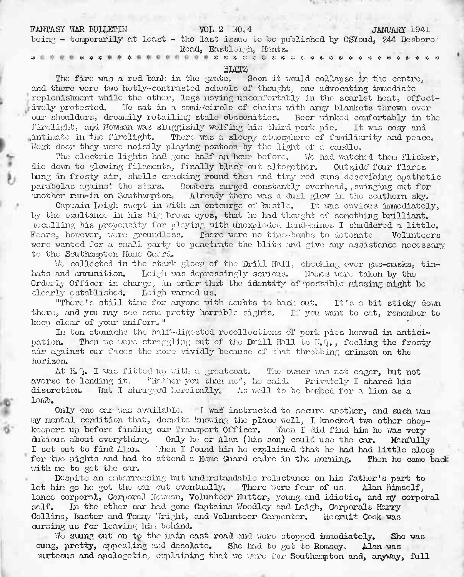## FANTASY WAR BULLETIN VOL. 2 NO. 4 JANUARY 194.

being  $-$  temporarily at least  $-$  the last issue to be published by CSYoud, 244 Desboro: Road, Eastleigh, Hants.

& # >js <« >!< ft ft ft ft ft >r ft ft ft ft ft ft ft ft ft ft ft ft ft ft ft ft ft ft

## BIJTZ

The fire was <sup>a</sup> rod bank in the grate. Soon it would collapse in the centre, and there were two hotly-contrasted schools of thought, one advocating immediate replenishment while the other, logs moving Uncomfortably in the scarlet heat, effectively protested, '.7c sat in a scmi-'circle of chairs with army blankets thrown over our shoulders, dreamily retailing stalo obscenities. Beer winked comfortably in the firelight, and Newman was sluggishly wolfing his third pork pie. It was cosy and intinate in the firelight. There was a sleepy atmosphere of familiarity and peace. Next door they were noisily playing pontoon by the light of a candle.

The electric lights had gone half an hour before. We had watched them flicker, die down to glowing filaments, finally black out altogether. Outride' four flares bung in frosty air, shells cracking round them and tiny rod suns describing apathetic parabolas against the stars. Bombers surged constantly overhead,, swinging out for another run-in on Southampton. Already there was a dull glow in the southern sky.

Captain Leigh swept in with an ontourgo of bustle. It was obvious immediately, by the exultancc in his big brown eyes, that he had thought of something brilliant. Recalling his propensity for playing with unexploded land-mines I shuddered a little. Fears, however, were groundless. There were no time-bombs to detonate. Volunteers were wanted for a small party to penetrate the blits and give any assistance necessary to the Southampton Home Guard.

Mo collected in the stark gloom of the Drill Hall, checking over gas-masks, tin-<br>hats and ammunition. Leigh was depressingly serious. Names were taken by the Leigh was depressingly serious. Names were taken by the Orderly Officer in charge, in order-that the identity of'pos'siblo missing might bo clearly established. Leigh warned us.

"There's still time for anyone with doubts to bad: out. It's <sup>a</sup> bit sticky down there, and you may see some pretty horrible sights. If you want to cat, remember to keep clear of your uniform."<br>Recovered to the state of your uniform."

In ton stomachs the half-digested recollections of pork pics heaved in antici-<br>
nation. Then we were straggling out of the Drill Hall to H.Q., feeling the frosty Then we were straggling out of the Drill Hall to H.Q., fooling the frosty air against our faces the more vividly because of that throbbing crimson on tho horizon.

At H.Q. I was fitted up with a greatcoat. The owner was not eager, but not averse to lending it. "Rather you than me", he said. Privately I shared his discretion. But I shrugged heroically. As well to be bombed for a lion as a lamb.

Only one car was available. I was instructed to secure another, and such was my mental condition that, despite knowing the place well, I knocked two other shopkeepers up before finding our Transport Officer. 'Then I did find him ho was very dubious about everything. Only he or Alan (his son) could use the car. Manfully I set out to find Alan. Then I found him he explained that he had had little sleep I found him he explained that he had had little sleep to attend a Home Guard cadre in the morning. Then he came back for two nights and had to attend a Home Guard cadre in the morning. with me to got tho car.

Despite an embarrassing but understandable reluctance on his father's part to let him go he got the car out eventually. There were four of us. Alan himself, lance corporal, Corporal Newman, Volunteer Nutter, young and idiotic, and my corporal self. In the ether car had gone Captains Woodley and Leigh, Corporals Harry In the other car had gone Captains Woodley and Leigh, Corporals Harry Collins, Bastcr and Tommy 'Jright, and Volunteer Carpenter. Recruit Cook was cursing us for leaving him behind

No swung out on to the main cast road and wore stopped immediately. Sho was oung, pretty, appealing and desolate. She had to get to Romsey. Alan was surtcous and apologetic, emplaining that we were for Southampton and, anyway, full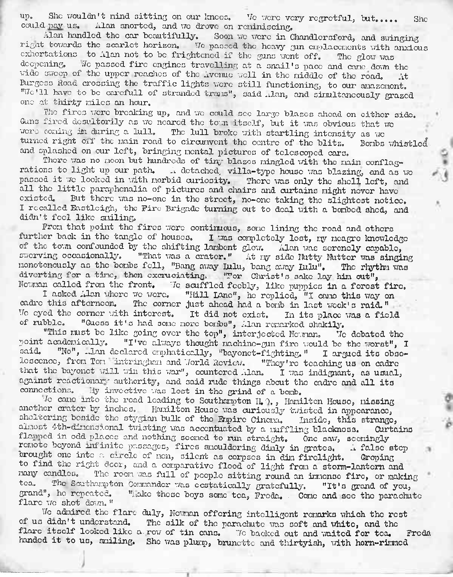up. She wouldn't mind sitting on our knees. Ve were very regretful, but..... She could pay us. Alan snorted, end we drove on reminiscing,

Alan handled the car beautifully. Soon we were in Chandlersford, and swinging right towards the scarlet horizon. We passed the heavy gun credacements with anxious exhortations to Alan not to be frightened if the guns went off. The glow was decoening. We passed fire engines travelling at a small is passe and care drive We passed fire engines travelling at a snail's pace and came down the of the upper reaches of the Avenue well in the middle of the read. wide sweep of the upper reaches of the Avenue well in the middle of the road. Burgess Road crossing the traffic lights were still functioning, to our amazement. "We'll have to be carefull of stranded trans", said Alan, and simultaneously grazed one at thirty miles an hour.

The fires were breaking up, and we could see large blazes ahead on either side. Guns fired desultorily as we neared the town itself, but it was obvious that we were coming in during a lull. The lull broke with startling intensity as we turned right off the main road to circumvent the centre of the blitz. Bombs whistled turned right off the main road to circumvent the centre of the blitz. and splashed on our loft, bringing mental pictures of telescoped cars.

There was no moon but hundreds of tiny blazes mingled with the main conflagrations to light up our path. A detached, villa-type house was blazing, and as we passed it we looked in with morbid curiosity. There was only the shell left, and all the little paraphenalia of pictures and chairs and curtains might never have existed. But there was no-one in the street, no-one taking the slightest notice. I recalled Eastleigh, the Biro Brigade turning out to deal with a bombed shed, and didn't fool like smiling.

Prom that point the fires were continuous, some lining the road and others further back in the tangle of houses. I was completely lost, ny meagre knowledge of the town confounded by the shifting lambent glow. Alan was serenely capable, swerving occasionally. "That was a crater." At my side Nutty Nutter was singing monotonously as the bombs fell, "Bang away Lulu, bang away Lulu". The rhythm was diverting for a time, then excruciating, "For Christ's sake lay him out", Newman called from the front. To scuffled feebly, like puppies in a forest fire.

I asked Alan where we were. "Hill Lane", he replied, "I came this way on cadre this afternoon. The corner just ahead had a bomb in last week's raid." cadre this afterneon. The corner just ahead had a bonb in last week's raid."<br>We eyed the corner with interest. It did not exist. In its place was a field of rubble. "Guess it's had some nore borba". Ann remarked shekily "Guess it's had some more bombs", Alan remarked shakily.

"This must be like going over the top", interjected Newnan, "Ie debated the point academically. "I've always thought machine-gun fire would be the worst", I said. "No". Henceford emphatically, "beyonet-fighting " I angued its chaor "No", .. Ian declared emphatically, "bayonet-fighting." I argued its obsolescence, from Ton .intringham and Jorld Review. "They're teaching us on cadre that the bayonet will win this war", countered Alan. I was indignant, as usual, against reactionary authority, and said rude things about the cadre and all its connections. Bly invective was lost in the grind of a bomb.

•7o came into the road loading to Southampton II,")., Hamilton House, missing another crater by inches. Hamilton House was curiously twisted in appearance, sheltering beside the stygian bulk of the Empire Cinema, Inside, this strange, almost 4th-dinemal twisting was accentuated by a muffling blackness. Curtains almost 4th-dimensional twisting was accentuated by a muffling blackness. flapped in odd places and nothing seemed to run straight. One saw, seemingly remote beyond infinite passages, fires smouldering dimly in grates. A false step brought one into a circle of men, silent as corpses in dim firelight. Groping to find the right door, and a comparative flood of light from a storm-lantern and many candles. The room was full of people sitting round an immense fire, or making tea. The Southarnton Commander was eastatically matched ly with an anni of you. tea. The Southampton Commander was ecstatically gratefully. "It's grand of you, grand", he repeated. "Lake these boys some tea. Frede. Come and soe the narrachu "Lake these boys some tea, Freda. Come and see the parachute flare we shot down. "

7c admired the flare duly, Newman offering intelligent remarks which the rest of us didn't understand. The silk of the parachute was soft and white, and the flare itself looked like a row of tin cans. To backed out and waited for tea. Freda handed it to us, smiling. She was plump, brunette and thirtyish, with horn-rimned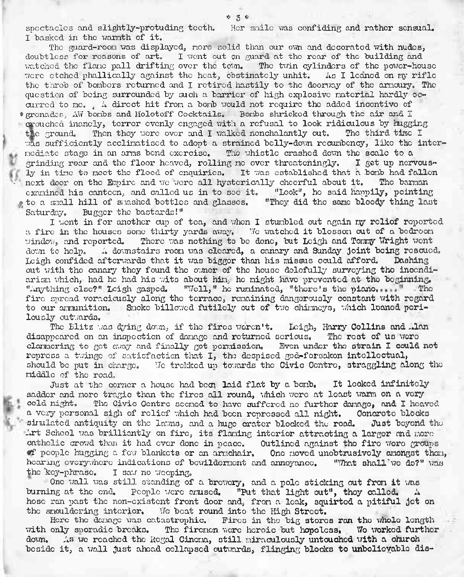spectacles and slightly-protuding teeth. Her smile was confiding and rather sensual. I basked in the warmth of it.

The guard-room was displayed, more solid than our own and decorated with nudes, doubtless for reasons of art, I went out on guard at the rear of the building and watched the flame pall drifting over the town. The twin cylinders of the power-house were etched phallically against the heat, obstinately unhit. As I leaned on my rifle the throb of bombers returned and I retired hastily to the doorway of the armoury. The question of being surrounded by such a barrier of high explosive material hardly occurred to me., A direct hit from a bomb would not require the added incentive of **<sup>t</sup>** grenades, AW bombs and Holotoff Cocktails. Bombs shrieked through the air and <sup>1</sup> crouched inanely, terror evenly engaged with a refusal to look ridiculous by hugging<br>the ground. Then they were over and I walked nonchalantly out. The third time I Then they were over and I walked nonchalantly cut. The third time I was sufficiently acclimatised to adopt a strained belly-down recumbency, like the intermediate stage in an arms bend exercise. The whistle crashed down the scale to a grinding rear and the floor heaved, relling ne over threateningly. I get up nervousgrinding roar and the floor heaved, rolling mo over threateningly. ly in time to meet the flood of enquiries. It was established that a bomb had fallen<br>next door on the Empire and we were all hysterically cheerful about it. The barman next door on the Empire and we wore all hysterically cheerful about it. examined his canteen, and called us in to see it. "Look", ho said happily, pointing to a small hill of smashed bottles and glasses. "They did the same bloody thing last Saturday. Bugger the bastards!" Bugger the bastards!"

I went in for another cup of tea, and when I stumbled out again my relief reported a fire in the houses some thirty yards away. We watched it blossom out of a bedroom window, and reported. There was nothing to be done, but Leigh and Towny Wright went There was nothing to be done, but Leigh and Tommy Wright wont down to help. A downstairs room was cleared, a canary and Sunday joint being rescued. Leigh confided afterwards that it was bigger than his missus could afford. Dashing out with the canary they found the owner of the house dolefully surveying the incendiarism which, had he had his wits about him, he might have prevented at the beginning.<br>"Anything clac?" Leigh gasped. "Vell," he runinated. "there's the piano.  $"$  "Voll," he ruminated, "there's the piano,  $\ldots$  " fire spread voraciously along the terrace, remaining dangerously constant with regard to our ammunition. Smoke billowed futilely out of two chimneys, which loaned perilously outwards.

The Blitz whs dying down, if the fires weren't. Leigh, **Harry Collins and Alan** disappeared on an inspection of damage and returned serious, The root of us were clamoring to got away and finally got permission. Evon under the strain I could not repress a twinge of satisfaction that I, the despised god-forsakon intellectual, should be put in charge. We trekked up towards the Civic Centro, straggling along the middle of the road.

Just at the corner a house had beep, laid flat by a bomb. It looked infinitely sadder and more tragic than the fires all round, which were at least warm on a very cold night. The Givic Centre secned to have suffered no further danage, and I heave cold night. The Civic Centro seemed to have suffered no further damage, and I heaved a very personal sigh of relief which had been repressed all night. Concrete blocks<br>simulated antiquity on the lawns, and a huge crater blocked the road. Dust beyond the simulated antiquity on the lawns, and a huge crater blocked the road. Art School was brilliantly on fire, its flaming interior attracting a larger and more catholic crowd than it had over done in peace. Outlined against tho firo wore groups  $\bullet$  people hugging a few blankets or an armchair. One moved unobtrusively amongst thom, hearing everywhere indications of bewilderment and annoyance. "What shall we do?" was<br>the key-phrase. I say no weeping. I saw no weeping.

One wall was still standing of a brewery, and a pole sticking out from it was burning at the end. People were amused. "Put that light out", they called. A hose ran past the non-existent front door and, from a leak, squirted a pitiful jot on the smouldering interior. We beat round into the High Street.

Hero tho damage was catastrophic. Fires in tho big stores **ran tho whole** length with only sporadic breaks. Tho firemen wore heroic but hopeless. Wo **worked further** down. As we reached the Regal Cinema, still miraculously untouched with a church beside it, a wall just ahead collapsed outwasrds, **flinging blocks to unbelievable dis-**